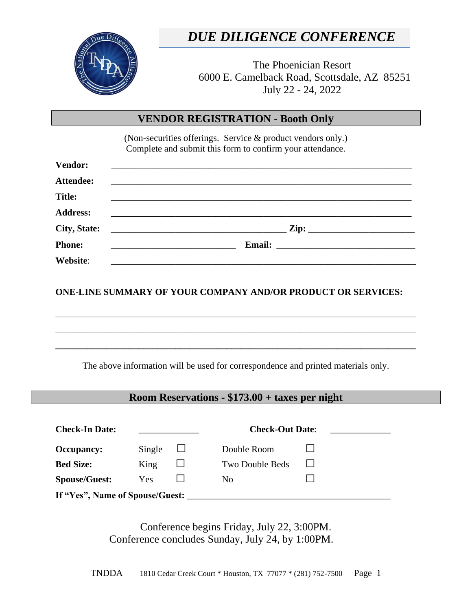

# *DUE DILIGENCE CONFERENCE*

The Phoenician Resort 6000 E. Camelback Road, Scottsdale, AZ 85251 July 22 - 24, 2022

#### **VENDOR REGISTRATION** - **Booth Only**

(Non-securities offerings. Service & product vendors only.) Complete and submit this form to confirm your attendance.

| <b>Vendor:</b>      |                                                                                                                      |
|---------------------|----------------------------------------------------------------------------------------------------------------------|
| <b>Attendee:</b>    |                                                                                                                      |
| <b>Title:</b>       |                                                                                                                      |
| <b>Address:</b>     | <u> 2002 - Jan Barnett, fransk politiker (d. 1982)</u>                                                               |
| <b>City, State:</b> | <u> 1989 - Jan James James James James James James James James James James James James James James James James J</u> |
| <b>Phone:</b>       |                                                                                                                      |
| Website:            | <u> 2001 - Jan Barbarat, mangang masa pada 1950 - Pada Barbarat at Pangangan Barbarat at Pangangan Barbarat at P</u> |

**ONE-LINE SUMMARY OF YOUR COMPANY AND/OR PRODUCT OR SERVICES:**

\_\_\_\_\_\_\_\_\_\_\_\_\_\_\_\_\_\_\_\_\_\_\_\_\_\_\_\_\_\_\_\_\_\_\_\_\_\_\_\_\_\_\_\_\_\_\_\_\_\_\_\_\_\_\_\_\_\_\_\_\_\_\_\_\_\_\_\_\_\_\_\_\_\_\_\_\_\_

\_\_\_\_\_\_\_\_\_\_\_\_\_\_\_\_\_\_\_\_\_\_\_\_\_\_\_\_\_\_\_\_\_\_\_\_\_\_\_\_\_\_\_\_\_\_\_\_\_\_\_\_\_\_\_\_\_\_\_\_\_\_\_\_\_\_\_\_\_\_\_\_\_\_\_\_\_\_

**\_\_\_\_\_\_\_\_\_\_\_\_\_\_\_\_\_\_\_\_\_\_\_\_\_\_\_\_\_\_\_\_\_\_\_\_\_\_\_\_\_\_\_\_\_\_\_\_\_\_\_\_\_\_\_\_\_\_\_\_\_\_\_\_\_\_\_\_\_\_\_\_\_\_\_\_\_\_**

The above information will be used for correspondence and printed materials only.

### **Room Reservations - \$173.00 + taxes per night**

| <b>Check-In Date:</b>           |        |  | <b>Check-Out Date:</b> |  |  |  |
|---------------------------------|--------|--|------------------------|--|--|--|
| <b>Occupancy:</b>               | Single |  | Double Room            |  |  |  |
| <b>Bed Size:</b>                | King   |  | Two Double Beds        |  |  |  |
| <b>Spouse/Guest:</b>            | Yes    |  | N <sub>0</sub>         |  |  |  |
| If "Yes", Name of Spouse/Guest: |        |  |                        |  |  |  |

Conference begins Friday, July 22, 3:00PM. Conference concludes Sunday, July 24, by 1:00PM.